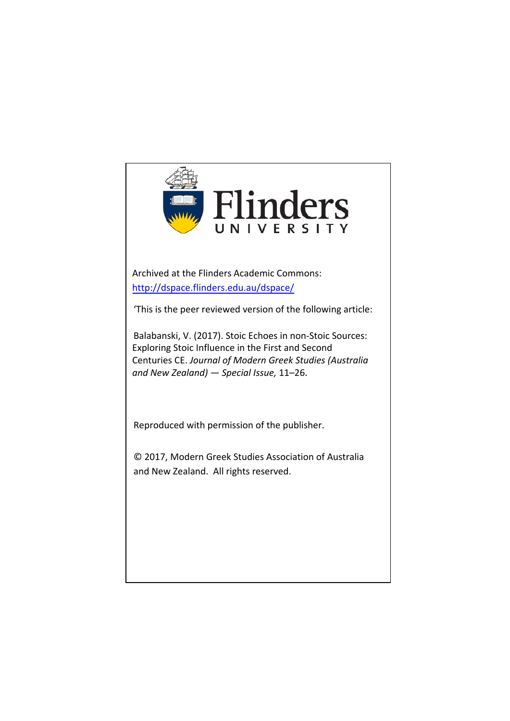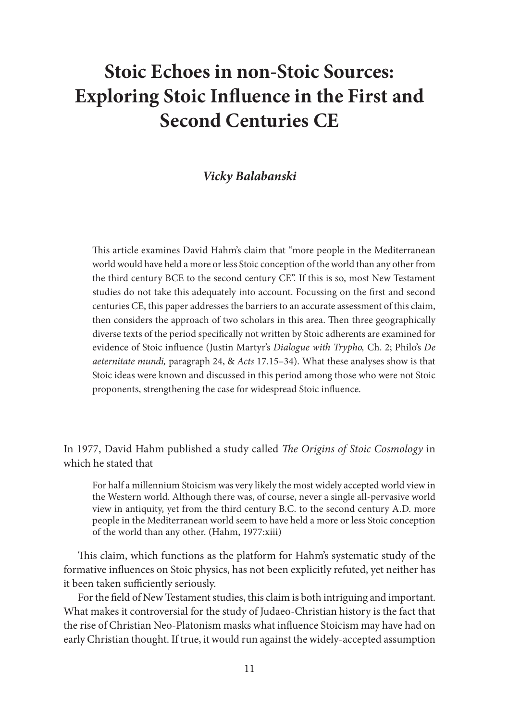# **Stoic Echoes in non-Stoic Sources: Exploring Stoic Influence in the First and Second Centuries CE**

# *Vicky Balabanski*

This article examines David Hahm's claim that "more people in the Mediterranean world would have held a more or less Stoic conception of the world than any other from the third century BCE to the second century CE". If this is so, most New Testament studies do not take this adequately into account. Focussing on the first and second centuries CE, this paper addresses the barriers to an accurate assessment of this claim, then considers the approach of two scholars in this area. Then three geographically diverse texts of the period specifically not written by Stoic adherents are examined for evidence of Stoic influence (Justin Martyr's *Dialogue with Trypho,* Ch. 2; Philo's *De aeternitate mundi,* paragraph 24, & *Acts* 17.15–34). What these analyses show is that Stoic ideas were known and discussed in this period among those who were not Stoic proponents, strengthening the case for widespread Stoic influence.

In 1977, David Hahm published a study called *The Origins of Stoic Cosmology* in which he stated that

For half a millennium Stoicism was very likely the most widely accepted world view in the Western world. Although there was, of course, never a single all-pervasive world view in antiquity, yet from the third century B.C. to the second century A.D. more people in the Mediterranean world seem to have held a more or less Stoic conception of the world than any other. (Hahm, 1977:xiii)

This claim, which functions as the platform for Hahm's systematic study of the formative influences on Stoic physics, has not been explicitly refuted, yet neither has it been taken sufficiently seriously.

For the field of New Testament studies, this claim is both intriguing and important. What makes it controversial for the study of Judaeo-Christian history is the fact that the rise of Christian Neo-Platonism masks what influence Stoicism may have had on early Christian thought. If true, it would run against the widely-accepted assumption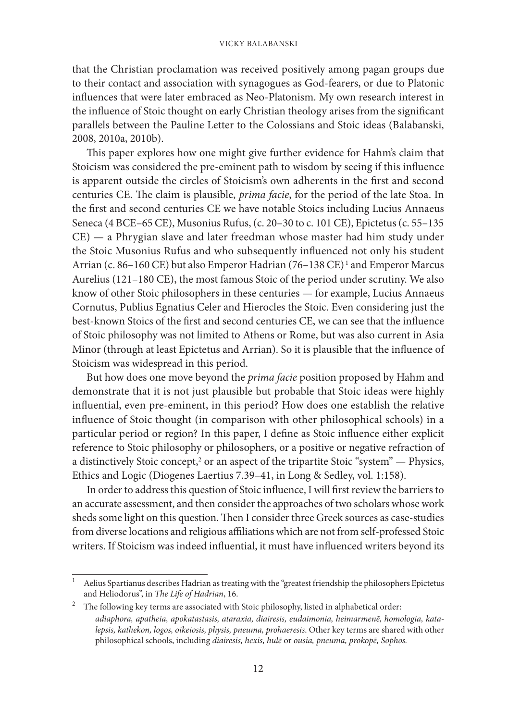that the Christian proclamation was received positively among pagan groups due to their contact and association with synagogues as God-fearers, or due to Platonic influences that were later embraced as Neo-Platonism. My own research interest in the influence of Stoic thought on early Christian theology arises from the significant parallels between the Pauline Letter to the Colossians and Stoic ideas (Balabanski, 2008, 2010a, 2010b).

This paper explores how one might give further evidence for Hahm's claim that Stoicism was considered the pre-eminent path to wisdom by seeing if this influence is apparent outside the circles of Stoicism's own adherents in the first and second centuries CE. The claim is plausible, *prima facie*, for the period of the late Stoa. In the first and second centuries CE we have notable Stoics including Lucius Annaeus Seneca (4 BCE–65 CE), Musonius Rufus, (c. 20–30 to c. 101 CE), Epictetus (c. 55–135 CE) — a Phrygian slave and later freedman whose master had him study under the Stoic Musonius Rufus and who subsequently influenced not only his student Arrian (c. 86–160 CE) but also Emperor Hadrian (76–138 CE) <sup>1</sup> and Emperor Marcus Aurelius (121–180 CE), the most famous Stoic of the period under scrutiny. We also know of other Stoic philosophers in these centuries — for example, Lucius Annaeus Cornutus, Publius Egnatius Celer and Hierocles the Stoic. Even considering just the best-known Stoics of the first and second centuries CE, we can see that the influence of Stoic philosophy was not limited to Athens or Rome, but was also current in Asia Minor (through at least Epictetus and Arrian). So it is plausible that the influence of Stoicism was widespread in this period.

But how does one move beyond the *prima facie* position proposed by Hahm and demonstrate that it is not just plausible but probable that Stoic ideas were highly influential, even pre-eminent, in this period? How does one establish the relative influence of Stoic thought (in comparison with other philosophical schools) in a particular period or region? In this paper, I define as Stoic influence either explicit reference to Stoic philosophy or philosophers, or a positive or negative refraction of a distinctively Stoic concept,<sup>2</sup> or an aspect of the tripartite Stoic "system" — Physics, Ethics and Logic (Diogenes Laertius 7.39–41, in Long & Sedley, vol. 1:158).

In order to address this question of Stoic influence, I will first review the barriers to an accurate assessment, and then consider the approaches of two scholars whose work sheds some light on this question. Then I consider three Greek sources as case-studies from diverse locations and religious affiliations which are not from self-professed Stoic writers. If Stoicism was indeed influential, it must have influenced writers beyond its

<sup>1</sup> Aelius Spartianus describes Hadrian as treating with the "greatest friendship the philosophers Epictetus and Heliodorus", in *The Life of Hadrian*, 16.

 $^2$  The following key terms are associated with Stoic philosophy, listed in alphabetical order: *adiaphora, apatheia, apokatastasis, ataraxia, diairesis, eudaimonia, heimarmenē, homologia, katalepsis, kathekon, logos, oikeiosis, physis, pneuma, prohaeresis*. Other key terms are shared with other philosophical schools, including *diairesis, hexis, hulē* or *ousia, pneuma, prokopē, Sophos.*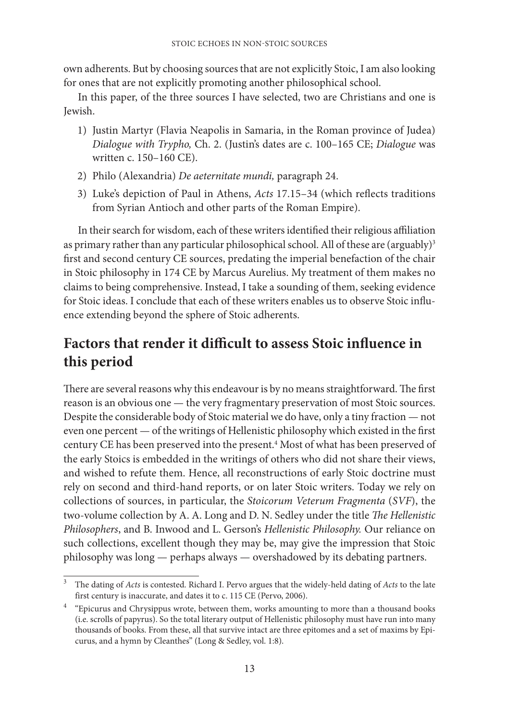own adherents. But by choosing sources that are not explicitly Stoic, I am also looking for ones that are not explicitly promoting another philosophical school.

In this paper, of the three sources I have selected, two are Christians and one is Jewish.

- 1) Justin Martyr (Flavia Neapolis in Samaria, in the Roman province of Judea) *Dialogue with Trypho,* Ch. 2. (Justin's dates are c. 100–165 CE; *Dialogue* was written c. 150–160 CE).
- 2) Philo (Alexandria) *De aeternitate mundi,* paragraph 24.
- 3) Luke's depiction of Paul in Athens, *Acts* 17.15–34 (which reflects traditions from Syrian Antioch and other parts of the Roman Empire).

In their search for wisdom, each of these writers identified their religious affiliation as primary rather than any particular philosophical school. All of these are (arguably)<sup>3</sup> first and second century CE sources, predating the imperial benefaction of the chair in Stoic philosophy in 174 CE by Marcus Aurelius. My treatment of them makes no claims to being comprehensive. Instead, I take a sounding of them, seeking evidence for Stoic ideas. I conclude that each of these writers enables us to observe Stoic influence extending beyond the sphere of Stoic adherents.

# **Factors that render it difficult to assess Stoic influence in this period**

There are several reasons why this endeavour is by no means straightforward. The first reason is an obvious one — the very fragmentary preservation of most Stoic sources. Despite the considerable body of Stoic material we do have, only a tiny fraction — not even one percent — of the writings of Hellenistic philosophy which existed in the first century CE has been preserved into the present.<sup>4</sup> Most of what has been preserved of the early Stoics is embedded in the writings of others who did not share their views, and wished to refute them. Hence, all reconstructions of early Stoic doctrine must rely on second and third-hand reports, or on later Stoic writers. Today we rely on collections of sources, in particular, the *Stoicorum Veterum Fragmenta* (*SVF*), the two-volume collection by A. A. Long and D. N. Sedley under the title *The Hellenistic Philosophers*, and B. Inwood and L. Gerson's *Hellenistic Philosophy.* Our reliance on such collections, excellent though they may be, may give the impression that Stoic philosophy was long — perhaps always — overshadowed by its debating partners.

<sup>3</sup> The dating of *Acts* is contested. Richard I. Pervo argues that the widely-held dating of *Acts* to the late first century is inaccurate, and dates it to c. 115 CE (Pervo, 2006).

<sup>&</sup>lt;sup>4</sup> "Epicurus and Chrysippus wrote, between them, works amounting to more than a thousand books (i.e. scrolls of papyrus). So the total literary output of Hellenistic philosophy must have run into many thousands of books. From these, all that survive intact are three epitomes and a set of maxims by Epicurus, and a hymn by Cleanthes" (Long & Sedley, vol. 1:8).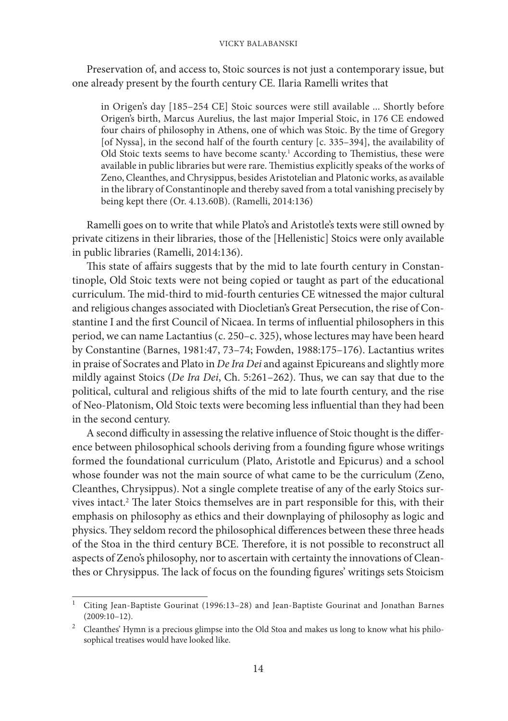Preservation of, and access to, Stoic sources is not just a contemporary issue, but one already present by the fourth century CE. Ilaria Ramelli writes that

in Origen's day [185–254 CE] Stoic sources were still available ... Shortly before Origen's birth, Marcus Aurelius, the last major Imperial Stoic, in 176 CE endowed four chairs of philosophy in Athens, one of which was Stoic. By the time of Gregory [of Nyssa], in the second half of the fourth century [c. 335–394], the availability of Old Stoic texts seems to have become scanty.<sup>1</sup> According to Themistius, these were available in public libraries but were rare. Themistius explicitly speaks of the works of Zeno, Cleanthes, and Chrysippus, besides Aristotelian and Platonic works, as available in the library of Constantinople and thereby saved from a total vanishing precisely by being kept there (Or. 4.13.60B). (Ramelli, 2014:136)

Ramelli goes on to write that while Plato's and Aristotle's texts were still owned by private citizens in their libraries, those of the [Hellenistic] Stoics were only available in public libraries (Ramelli, 2014:136).

This state of affairs suggests that by the mid to late fourth century in Constantinople, Old Stoic texts were not being copied or taught as part of the educational curriculum. The mid-third to mid-fourth centuries CE witnessed the major cultural and religious changes associated with Diocletian's Great Persecution, the rise of Constantine I and the first Council of Nicaea. In terms of influential philosophers in this period, we can name Lactantius (c. 250–c. 325), whose lectures may have been heard by Constantine (Barnes, 1981:47, 73–74; Fowden, 1988:175–176). Lactantius writes in praise of Socrates and Plato in *De Ira Dei* and against Epicureans and slightly more mildly against Stoics (*De Ira Dei*, Ch. 5:261–262). Thus, we can say that due to the political, cultural and religious shifts of the mid to late fourth century, and the rise of Neo-Platonism, Old Stoic texts were becoming less influential than they had been in the second century.

A second difficulty in assessing the relative influence of Stoic thought is the difference between philosophical schools deriving from a founding figure whose writings formed the foundational curriculum (Plato, Aristotle and Epicurus) and a school whose founder was not the main source of what came to be the curriculum (Zeno, Cleanthes, Chrysippus). Not a single complete treatise of any of the early Stoics survives intact.<sup>2</sup> The later Stoics themselves are in part responsible for this, with their emphasis on philosophy as ethics and their downplaying of philosophy as logic and physics. They seldom record the philosophical differences between these three heads of the Stoa in the third century BCE. Therefore, it is not possible to reconstruct all aspects of Zeno's philosophy, nor to ascertain with certainty the innovations of Cleanthes or Chrysippus. The lack of focus on the founding figures' writings sets Stoicism

<sup>1</sup> Citing Jean-Baptiste Gourinat (1996:13–28) and Jean-Baptiste Gourinat and Jonathan Barnes (2009:10–12).

 $2$  Cleanthes' Hymn is a precious glimpse into the Old Stoa and makes us long to know what his philosophical treatises would have looked like.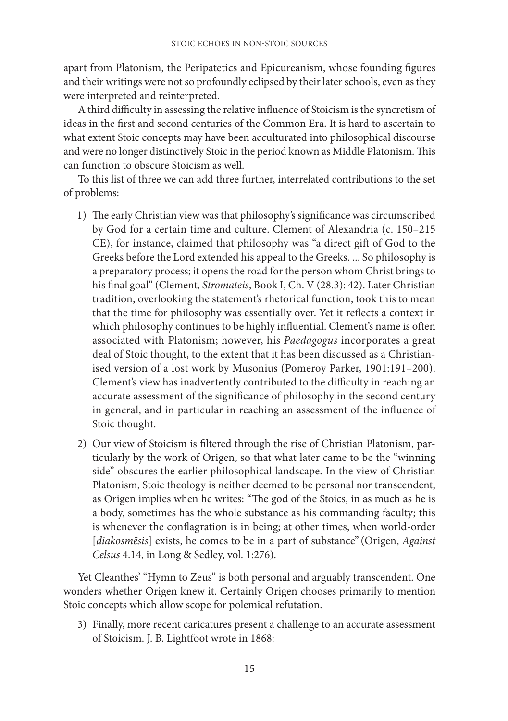apart from Platonism, the Peripatetics and Epicureanism, whose founding figures and their writings were not so profoundly eclipsed by their later schools, even as they were interpreted and reinterpreted.

A third difficulty in assessing the relative influence of Stoicism is the syncretism of ideas in the first and second centuries of the Common Era. It is hard to ascertain to what extent Stoic concepts may have been acculturated into philosophical discourse and were no longer distinctively Stoic in the period known as Middle Platonism. This can function to obscure Stoicism as well.

To this list of three we can add three further, interrelated contributions to the set of problems:

- 1) The early Christian view was that philosophy's significance was circumscribed by God for a certain time and culture. Clement of Alexandria (c. 150–215 CE), for instance, claimed that philosophy was "a direct gift of God to the Greeks before the Lord extended his appeal to the Greeks. ... So philosophy is a preparatory process; it opens the road for the person whom Christ brings to his final goal" (Clement, *Stromateis*, Book I, Ch. V (28.3): 42). Later Christian tradition, overlooking the statement's rhetorical function, took this to mean that the time for philosophy was essentially over. Yet it reflects a context in which philosophy continues to be highly influential. Clement's name is often associated with Platonism; however, his *Paedagogus* incorporates a great deal of Stoic thought, to the extent that it has been discussed as a Christianised version of a lost work by Musonius (Pomeroy Parker, 1901:191–200). Clement's view has inadvertently contributed to the difficulty in reaching an accurate assessment of the significance of philosophy in the second century in general, and in particular in reaching an assessment of the influence of Stoic thought.
- 2) Our view of Stoicism is filtered through the rise of Christian Platonism, particularly by the work of Origen, so that what later came to be the "winning side" obscures the earlier philosophical landscape. In the view of Christian Platonism, Stoic theology is neither deemed to be personal nor transcendent, as Origen implies when he writes: "The god of the Stoics, in as much as he is a body, sometimes has the whole substance as his commanding faculty; this is whenever the conflagration is in being; at other times, when world-order [*diakosmēsis*] exists, he comes to be in a part of substance" (Origen, *Against Celsus* 4.14, in Long & Sedley, vol. 1:276).

Yet Cleanthes' "Hymn to Zeus" is both personal and arguably transcendent. One wonders whether Origen knew it. Certainly Origen chooses primarily to mention Stoic concepts which allow scope for polemical refutation.

3) Finally, more recent caricatures present a challenge to an accurate assessment of Stoicism. J. B. Lightfoot wrote in 1868: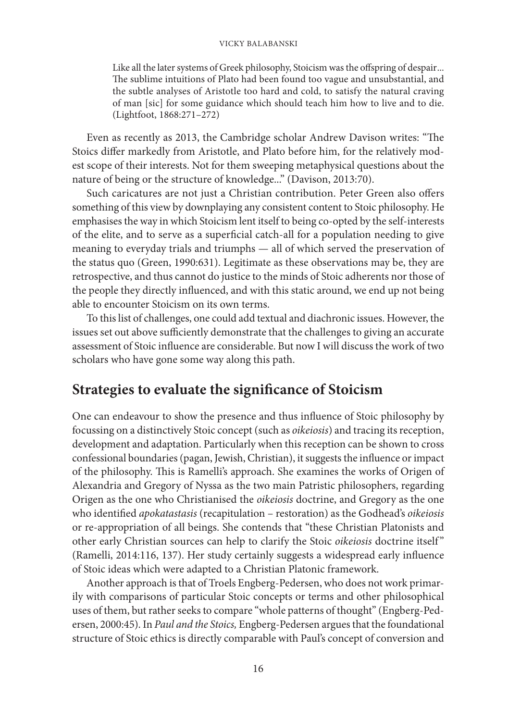Like all the later systems of Greek philosophy, Stoicism was the offspring of despair... The sublime intuitions of Plato had been found too vague and unsubstantial, and the subtle analyses of Aristotle too hard and cold, to satisfy the natural craving of man [sic] for some guidance which should teach him how to live and to die. (Lightfoot, 1868:271–272)

Even as recently as 2013, the Cambridge scholar Andrew Davison writes: "The Stoics differ markedly from Aristotle, and Plato before him, for the relatively modest scope of their interests. Not for them sweeping metaphysical questions about the nature of being or the structure of knowledge..." (Davison, 2013:70).

Such caricatures are not just a Christian contribution. Peter Green also offers something of this view by downplaying any consistent content to Stoic philosophy. He emphasises the way in which Stoicism lent itself to being co-opted by the self-interests of the elite, and to serve as a superficial catch-all for a population needing to give meaning to everyday trials and triumphs — all of which served the preservation of the status quo (Green, 1990:631). Legitimate as these observations may be, they are retrospective, and thus cannot do justice to the minds of Stoic adherents nor those of the people they directly influenced, and with this static around, we end up not being able to encounter Stoicism on its own terms.

To this list of challenges, one could add textual and diachronic issues. However, the issues set out above sufficiently demonstrate that the challenges to giving an accurate assessment of Stoic influence are considerable. But now I will discuss the work of two scholars who have gone some way along this path.

# **Strategies to evaluate the significance of Stoicism**

One can endeavour to show the presence and thus influence of Stoic philosophy by focussing on a distinctively Stoic concept (such as *oikeiosis*) and tracing its reception, development and adaptation. Particularly when this reception can be shown to cross confessional boundaries (pagan, Jewish, Christian), it suggests the influence or impact of the philosophy. This is Ramelli's approach. She examines the works of Origen of Alexandria and Gregory of Nyssa as the two main Patristic philosophers, regarding Origen as the one who Christianised the *oikeiosis* doctrine, and Gregory as the one who identified *apokatastasis* (recapitulation – restoration) as the Godhead's *oikeiosis* or re-appropriation of all beings. She contends that "these Christian Platonists and other early Christian sources can help to clarify the Stoic *oikeiosis* doctrine itself " (Ramelli, 2014:116, 137). Her study certainly suggests a widespread early influence of Stoic ideas which were adapted to a Christian Platonic framework.

Another approach is that of Troels Engberg-Pedersen, who does not work primarily with comparisons of particular Stoic concepts or terms and other philosophical uses of them, but rather seeks to compare "whole patterns of thought" (Engberg-Pedersen, 2000:45). In *Paul and the Stoics,* Engberg-Pedersen argues that the foundational structure of Stoic ethics is directly comparable with Paul's concept of conversion and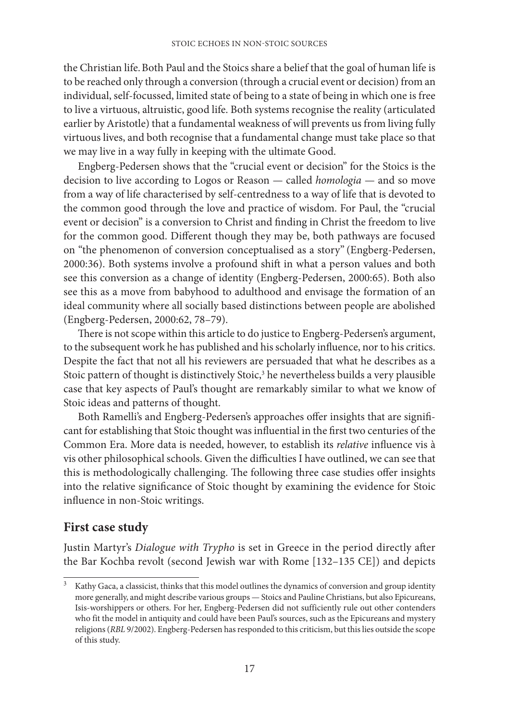the Christian life.Both Paul and the Stoics share a belief that the goal of human life is to be reached only through a conversion (through a crucial event or decision) from an individual, self-focussed, limited state of being to a state of being in which one is free to live a virtuous, altruistic, good life. Both systems recognise the reality (articulated earlier by Aristotle) that a fundamental weakness of will prevents us from living fully virtuous lives, and both recognise that a fundamental change must take place so that we may live in a way fully in keeping with the ultimate Good.

Engberg-Pedersen shows that the "crucial event or decision" for the Stoics is the decision to live according to Logos or Reason — called *homologia* — and so move from a way of life characterised by self-centredness to a way of life that is devoted to the common good through the love and practice of wisdom. For Paul, the "crucial event or decision" is a conversion to Christ and finding in Christ the freedom to live for the common good. Different though they may be, both pathways are focused on "the phenomenon of conversion conceptualised as a story" (Engberg-Pedersen, 2000:36). Both systems involve a profound shift in what a person values and both see this conversion as a change of identity (Engberg-Pedersen, 2000:65). Both also see this as a move from babyhood to adulthood and envisage the formation of an ideal community where all socially based distinctions between people are abolished (Engberg-Pedersen, 2000:62, 78–79).

There is not scope within this article to do justice to Engberg-Pedersen's argument, to the subsequent work he has published and his scholarly influence, nor to his critics. Despite the fact that not all his reviewers are persuaded that what he describes as a Stoic pattern of thought is distinctively Stoic,<sup>3</sup> he nevertheless builds a very plausible case that key aspects of Paul's thought are remarkably similar to what we know of Stoic ideas and patterns of thought.

Both Ramelli's and Engberg-Pedersen's approaches offer insights that are significant for establishing that Stoic thought was influential in the first two centuries of the Common Era. More data is needed, however, to establish its *relative* influence vis à vis other philosophical schools. Given the difficulties I have outlined, we can see that this is methodologically challenging. The following three case studies offer insights into the relative significance of Stoic thought by examining the evidence for Stoic influence in non-Stoic writings.

# **First case study**

Justin Martyr's *Dialogue with Trypho* is set in Greece in the period directly after the Bar Kochba revolt (second Jewish war with Rome [132–135 CE]) and depicts

Kathy Gaca, a classicist, thinks that this model outlines the dynamics of conversion and group identity more generally, and might describe various groups — Stoics and Pauline Christians, but also Epicureans, Isis-worshippers or others. For her, Engberg-Pedersen did not sufficiently rule out other contenders who fit the model in antiquity and could have been Paul's sources, such as the Epicureans and mystery religions (*RBL* 9/2002). Engberg-Pedersen has responded to this criticism, but this lies outside the scope of this study.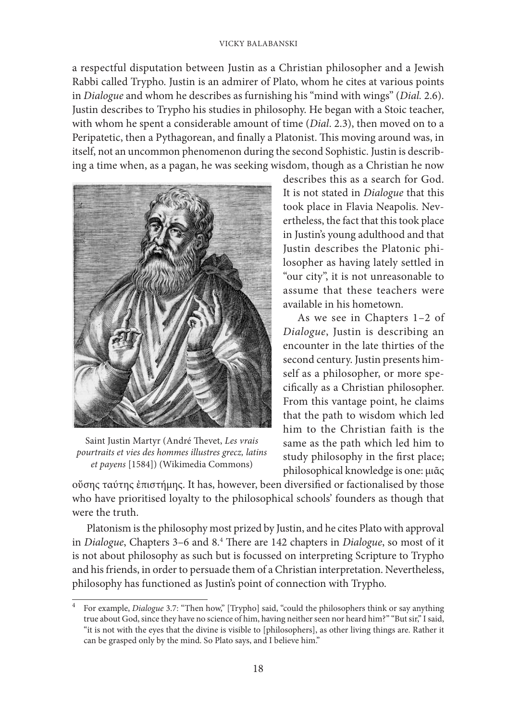a respectful disputation between Justin as a Christian philosopher and a Jewish Rabbi called Trypho. Justin is an admirer of Plato, whom he cites at various points in *Dialogue* and whom he describes as furnishing his "mind with wings" (*Dial.* 2.6). Justin describes to Trypho his studies in philosophy. He began with a Stoic teacher, with whom he spent a considerable amount of time (*Dial*. 2.3), then moved on to a Peripatetic, then a Pythagorean, and finally a Platonist. This moving around was, in itself, not an uncommon phenomenon during the second Sophistic. Justin is describing a time when, as a pagan, he was seeking wisdom, though as a Christian he now



Saint Justin Martyr (André Thevet, *Les vrais pourtraits et vies des hommes illustres grecz, latins et payens* [1584]) (Wikimedia Commons)

describes this as a search for God. It is not stated in *Dialogue* that this took place in Flavia Neapolis. Nevertheless, the fact that this took place in Justin's young adulthood and that Justin describes the Platonic philosopher as having lately settled in "our city", it is not unreasonable to assume that these teachers were available in his hometown.

As we see in Chapters 1–2 of *Dialogue*, Justin is describing an encounter in the late thirties of the second century. Justin presents himself as a philosopher, or more specifically as a Christian philosopher. From this vantage point, he claims that the path to wisdom which led him to the Christian faith is the same as the path which led him to study philosophy in the first place; philosophical knowledge is one: μιᾶς

οὔσης ταύτης ἐπιστήμης. It has, however, been diversified or factionalised by those who have prioritised loyalty to the philosophical schools' founders as though that were the truth.

Platonism is the philosophy most prized by Justin, and he cites Plato with approval in *Dialogue*, Chapters 3–6 and 8.4 There are 142 chapters in *Dialogue*, so most of it is not about philosophy as such but is focussed on interpreting Scripture to Trypho and his friends, in order to persuade them of a Christian interpretation. Nevertheless, philosophy has functioned as Justin's point of connection with Trypho.

<sup>4</sup> For example, *Dialogue* 3.7: "Then how," [Trypho] said, "could the philosophers think or say anything true about God, since they have no science of him, having neither seen nor heard him?" "But sir," I said, "it is not with the eyes that the divine is visible to [philosophers], as other living things are. Rather it can be grasped only by the mind. So Plato says, and I believe him."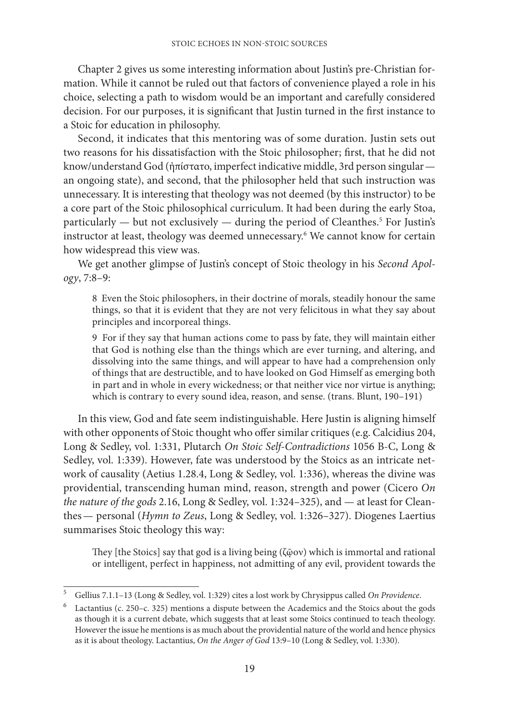Chapter 2 gives us some interesting information about Justin's pre-Christian formation. While it cannot be ruled out that factors of convenience played a role in his choice, selecting a path to wisdom would be an important and carefully considered decision. For our purposes, it is significant that Justin turned in the first instance to a Stoic for education in philosophy.

Second, it indicates that this mentoring was of some duration. Justin sets out two reasons for his dissatisfaction with the Stoic philosopher; first, that he did not know/understand God (ἠπίστατο, imperfect indicative middle, 3rd person singular an ongoing state), and second, that the philosopher held that such instruction was unnecessary. It is interesting that theology was not deemed (by this instructor) to be a core part of the Stoic philosophical curriculum. It had been during the early Stoa,  $particularly - but not exclusively - during the period of Cleanthes.<sup>5</sup> For Justin's$ instructor at least, theology was deemed unnecessary.<sup>6</sup> We cannot know for certain how widespread this view was.

We get another glimpse of Justin's concept of Stoic theology in his *Second Apology*, 7:8–9:

8 Even the Stoic philosophers, in their doctrine of morals, steadily honour the same things, so that it is evident that they are not very felicitous in what they say about principles and incorporeal things.

9 For if they say that human actions come to pass by fate, they will maintain either that God is nothing else than the things which are ever turning, and altering, and dissolving into the same things, and will appear to have had a comprehension only of things that are destructible, and to have looked on God Himself as emerging both in part and in whole in every wickedness; or that neither vice nor virtue is anything; which is contrary to every sound idea, reason, and sense. (trans. Blunt, 190–191)

In this view, God and fate seem indistinguishable. Here Justin is aligning himself with other opponents of Stoic thought who offer similar critiques (e.g. Calcidius 204, Long & Sedley, vol. 1:331, Plutarch *On Stoic Self-Contradictions* 1056 B-C, Long & Sedley, vol. 1:339). However, fate was understood by the Stoics as an intricate network of causality (Aetius 1.28.4, Long & Sedley, vol. 1:336), whereas the divine was providential, transcending human mind, reason, strength and power (Cicero *On the nature of the gods* 2.16, Long & Sedley, vol. 1:324–325), and — at least for Cleanthes— personal (*Hymn to Zeus*, Long & Sedley, vol. 1:326–327). Diogenes Laertius summarises Stoic theology this way:

They [the Stoics] say that god is a living being (ζῷον) which is immortal and rational or intelligent, perfect in happiness, not admitting of any evil, provident towards the

<sup>5</sup> Gellius 7.1.1–13 (Long & Sedley, vol. 1:329) cites a lost work by Chrysippus called *On Providence*.

<sup>6</sup> Lactantius (c. 250–c. 325) mentions a dispute between the Academics and the Stoics about the gods as though it is a current debate, which suggests that at least some Stoics continued to teach theology. However the issue he mentions is as much about the providential nature of the world and hence physics as it is about theology. Lactantius, *On the Anger of God* 13:9–10 (Long & Sedley, vol. 1:330).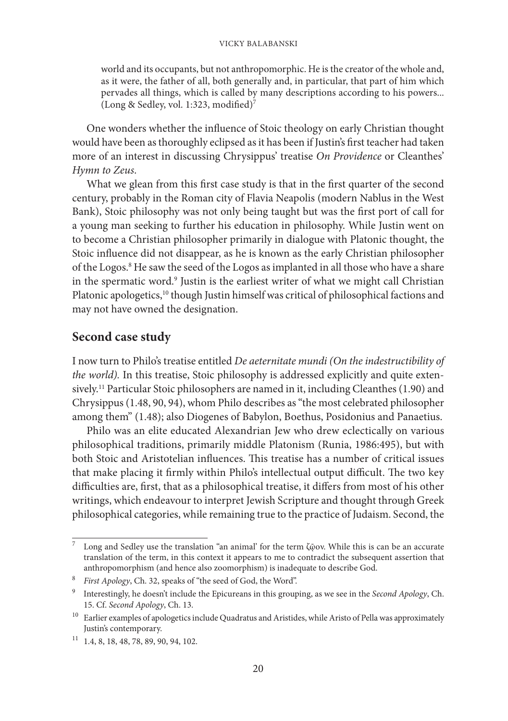world and its occupants, but not anthropomorphic. He is the creator of the whole and, as it were, the father of all, both generally and, in particular, that part of him which pervades all things, which is called by many descriptions according to his powers... (Long & Sedley, vol. 1:323, modified)<sup>7</sup>

One wonders whether the influence of Stoic theology on early Christian thought would have been as thoroughly eclipsed as it has been if Justin's first teacher had taken more of an interest in discussing Chrysippus' treatise *On Providence* or Cleanthes' *Hymn to Zeus*.

What we glean from this first case study is that in the first quarter of the second century, probably in the Roman city of Flavia Neapolis (modern Nablus in the West Bank), Stoic philosophy was not only being taught but was the first port of call for a young man seeking to further his education in philosophy. While Justin went on to become a Christian philosopher primarily in dialogue with Platonic thought, the Stoic influence did not disappear, as he is known as the early Christian philosopher of the Logos.<sup>8</sup> He saw the seed of the Logos as implanted in all those who have a share in the spermatic word.9 Justin is the earliest writer of what we might call Christian Platonic apologetics,<sup>10</sup> though Justin himself was critical of philosophical factions and may not have owned the designation.

# **Second case study**

I now turn to Philo's treatise entitled *De aeternitate mundi (On the indestructibility of the world).* In this treatise, Stoic philosophy is addressed explicitly and quite extensively.<sup>11</sup> Particular Stoic philosophers are named in it, including Cleanthes (1.90) and Chrysippus (1.48, 90, 94), whom Philo describes as "the most celebrated philosopher among them" (1.48); also Diogenes of Babylon, Boethus, Posidonius and Panaetius.

Philo was an elite educated Alexandrian Jew who drew eclectically on various philosophical traditions, primarily middle Platonism (Runia, 1986:495), but with both Stoic and Aristotelian influences. This treatise has a number of critical issues that make placing it firmly within Philo's intellectual output difficult. The two key difficulties are, first, that as a philosophical treatise, it differs from most of his other writings, which endeavour to interpret Jewish Scripture and thought through Greek philosophical categories, while remaining true to the practice of Judaism. Second, the

<sup>7</sup> Long and Sedley use the translation "an animal' for the term ζῷον. While this is can be an accurate translation of the term, in this context it appears to me to contradict the subsequent assertion that anthropomorphism (and hence also zoomorphism) is inadequate to describe God.

<sup>8</sup> *First Apology*, Ch. 32, speaks of "the seed of God, the Word".

<sup>9</sup> Interestingly, he doesn't include the Epicureans in this grouping, as we see in the *Second Apology*, Ch. 15. Cf. *Second Apology*, Ch. 13.

<sup>&</sup>lt;sup>10</sup> Earlier examples of apologetics include Quadratus and Aristides, while Aristo of Pella was approximately Justin's contemporary.

<sup>11</sup> 1.4, 8, 18, 48, 78, 89, 90, 94, 102.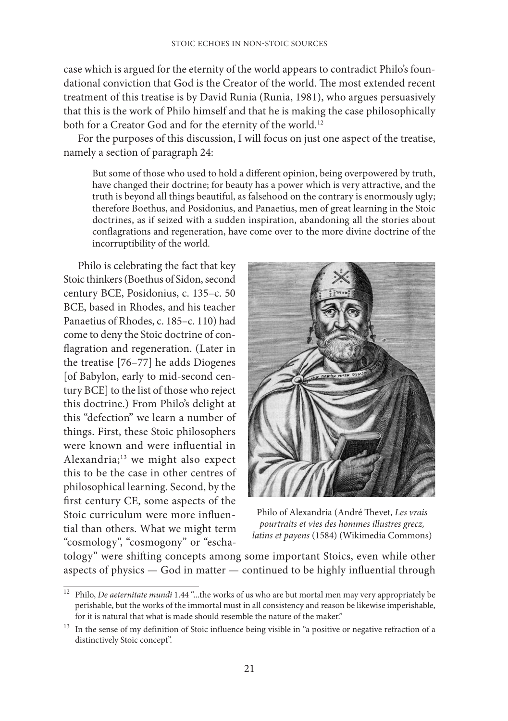case which is argued for the eternity of the world appears to contradict Philo's foundational conviction that God is the Creator of the world. The most extended recent treatment of this treatise is by David Runia (Runia, 1981), who argues persuasively that this is the work of Philo himself and that he is making the case philosophically both for a Creator God and for the eternity of the world.<sup>12</sup>

For the purposes of this discussion, I will focus on just one aspect of the treatise, namely a section of paragraph 24:

But some of those who used to hold a different opinion, being overpowered by truth, have changed their doctrine; for beauty has a power which is very attractive, and the truth is beyond all things beautiful, as falsehood on the contrary is enormously ugly; therefore Boethus, and Posidonius, and Panaetius, men of great learning in the Stoic doctrines, as if seized with a sudden inspiration, abandoning all the stories about conflagrations and regeneration, have come over to the more divine doctrine of the incorruptibility of the world.

Philo is celebrating the fact that key Stoic thinkers (Boethus of Sidon, second century BCE, Posidonius, c. 135–c. 50 BCE, based in Rhodes, and his teacher Panaetius of Rhodes, c. 185–c. 110) had come to deny the Stoic doctrine of conflagration and regeneration. (Later in the treatise [76–77] he adds Diogenes [of Babylon, early to mid-second century BCE] to the list of those who reject this doctrine.) From Philo's delight at this "defection" we learn a number of things. First, these Stoic philosophers were known and were influential in Alexandria;13 we might also expect this to be the case in other centres of philosophical learning. Second, by the first century CE, some aspects of the Stoic curriculum were more influential than others. What we might term "cosmology", "cosmogony" or "escha-



Philo of Alexandria (André Thevet, *Les vrais pourtraits et vies des hommes illustres grecz, latins et payens* (1584) (Wikimedia Commons)

tology" were shifting concepts among some important Stoics, even while other aspects of physics — God in matter — continued to be highly influential through

<sup>12</sup> Philo, *De aeternitate mundi* 1.44 "...the works of us who are but mortal men may very appropriately be perishable, but the works of the immortal must in all consistency and reason be likewise imperishable, for it is natural that what is made should resemble the nature of the maker."

 $^{\rm 13}$  In the sense of my definition of Stoic influence being visible in "a positive or negative refraction of a distinctively Stoic concept".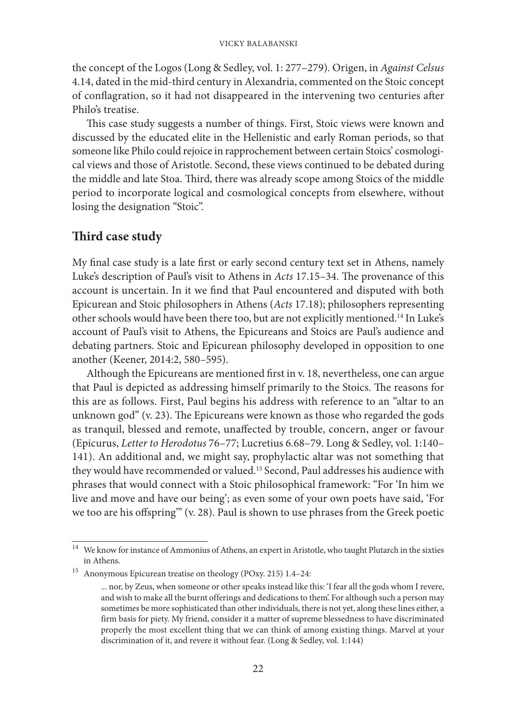the concept of the Logos (Long & Sedley, vol. 1: 277–279). Origen, in *Against Celsus* 4.14, dated in the mid-third century in Alexandria, commented on the Stoic concept of conflagration, so it had not disappeared in the intervening two centuries after Philo's treatise.

This case study suggests a number of things. First, Stoic views were known and discussed by the educated elite in the Hellenistic and early Roman periods, so that someone like Philo could rejoice in rapprochement between certain Stoics' cosmological views and those of Aristotle. Second, these views continued to be debated during the middle and late Stoa. Third, there was already scope among Stoics of the middle period to incorporate logical and cosmological concepts from elsewhere, without losing the designation "Stoic".

# **Third case study**

My final case study is a late first or early second century text set in Athens, namely Luke's description of Paul's visit to Athens in *Acts* 17.15–34. The provenance of this account is uncertain. In it we find that Paul encountered and disputed with both Epicurean and Stoic philosophers in Athens (*Acts* 17.18); philosophers representing other schools would have been there too, but are not explicitly mentioned.14 In Luke's account of Paul's visit to Athens, the Epicureans and Stoics are Paul's audience and debating partners. Stoic and Epicurean philosophy developed in opposition to one another (Keener, 2014:2, 580–595).

Although the Epicureans are mentioned first in v. 18, nevertheless, one can argue that Paul is depicted as addressing himself primarily to the Stoics. The reasons for this are as follows. First, Paul begins his address with reference to an "altar to an unknown god" (v. 23). The Epicureans were known as those who regarded the gods as tranquil, blessed and remote, unaffected by trouble, concern, anger or favour (Epicurus, *Letter to Herodotus* 76–77; Lucretius 6.68–79. Long & Sedley, vol. 1:140– 141). An additional and, we might say, prophylactic altar was not something that they would have recommended or valued.15 Second, Paul addresses his audience with phrases that would connect with a Stoic philosophical framework: "For 'In him we live and move and have our being'; as even some of your own poets have said, 'For we too are his offspring'" (v. 28). Paul is shown to use phrases from the Greek poetic

 $^{\rm 14}~$  We know for instance of Ammonius of Athens, an expert in Aristotle, who taught Plutarch in the sixties in Athens.

<sup>15</sup> Anonymous Epicurean treatise on theology (POxy. 215) 1.4–24:

<sup>...</sup> nor, by Zeus, when someone or other speaks instead like this: 'I fear all the gods whom I revere, and wish to make all the burnt offerings and dedications to them'. For although such a person may sometimes be more sophisticated than other individuals, there is not yet, along these lines either, a firm basis for piety. My friend, consider it a matter of supreme blessedness to have discriminated properly the most excellent thing that we can think of among existing things. Marvel at your discrimination of it, and revere it without fear. (Long & Sedley, vol. 1:144)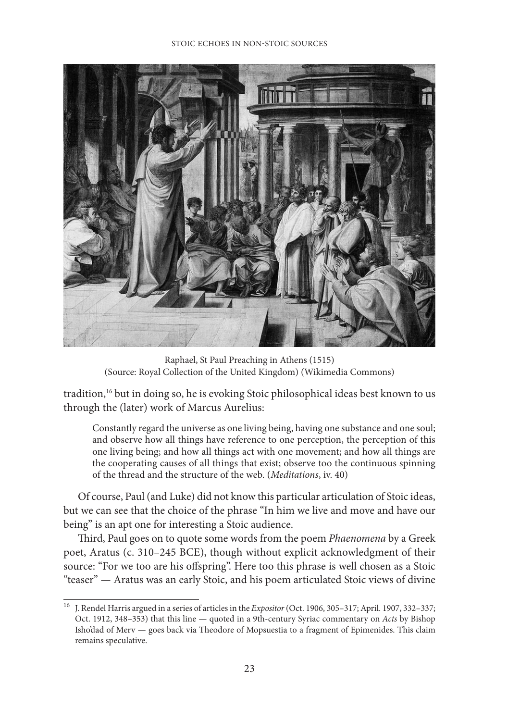

Raphael, St Paul Preaching in Athens (1515) (Source: Royal Collection of the United Kingdom) (Wikimedia Commons)

tradition,<sup>16</sup> but in doing so, he is evoking Stoic philosophical ideas best known to us through the (later) work of Marcus Aurelius:

Constantly regard the universe as one living being, having one substance and one soul; and observe how all things have reference to one perception, the perception of this one living being; and how all things act with one movement; and how all things are the cooperating causes of all things that exist; observe too the continuous spinning of the thread and the structure of the web. (*Meditations*, iv. 40)

Of course, Paul (and Luke) did not know this particular articulation of Stoic ideas, but we can see that the choice of the phrase "In him we live and move and have our being" is an apt one for interesting a Stoic audience.

Third, Paul goes on to quote some words from the poem *Phaenomena* by a Greek poet, Aratus (c. 310–245 BCE), though without explicit acknowledgment of their source: "For we too are his offspring". Here too this phrase is well chosen as a Stoic "teaser" — Aratus was an early Stoic, and his poem articulated Stoic views of divine

<sup>16</sup> J. Rendel Harris argued in a series of articles in the *Expositor* (Oct. 1906, 305–317; April. 1907, 332–337; Oct. 1912, 348–353) that this line — quoted in a 9th-century Syriac commentary on *Acts* by Bishop Isho'dad of Merv — goes back via Theodore of Mopsuestia to a fragment of Epimenides. This claim remains speculative.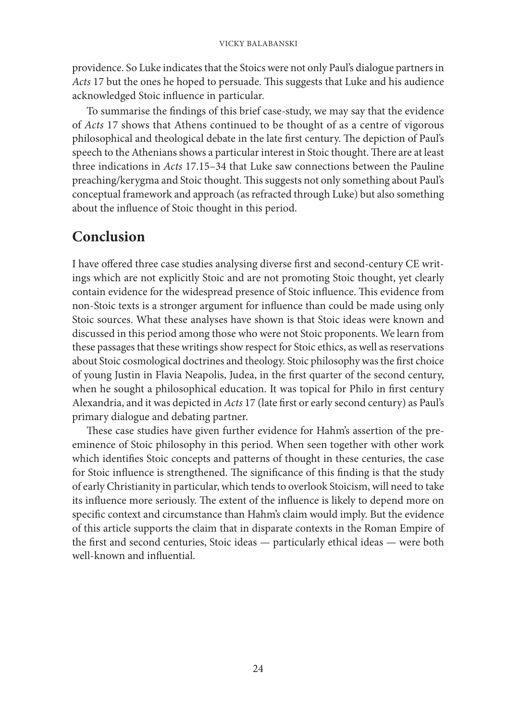providence. So Luke indicates that the Stoics were not only Paul's dialogue partners in *Acts* 17 but the ones he hoped to persuade. This suggests that Luke and his audience acknowledged Stoic influence in particular.

To summarise the findings of this brief case-study, we may say that the evidence of *Acts* 17 shows that Athens continued to be thought of as a centre of vigorous philosophical and theological debate in the late first century. The depiction of Paul's speech to the Athenians shows a particular interest in Stoic thought. There are at least three indications in *Acts* 17.15–34 that Luke saw connections between the Pauline preaching/kerygma and Stoic thought. This suggests not only something about Paul's conceptual framework and approach (as refracted through Luke) but also something about the influence of Stoic thought in this period.

# **Conclusion**

I have offered three case studies analysing diverse first and second-century CE writings which are not explicitly Stoic and are not promoting Stoic thought, yet clearly contain evidence for the widespread presence of Stoic influence. This evidence from non-Stoic texts is a stronger argument for influence than could be made using only Stoic sources. What these analyses have shown is that Stoic ideas were known and discussed in this period among those who were not Stoic proponents. We learn from these passages that these writings show respect for Stoic ethics, as well as reservations about Stoic cosmological doctrines and theology. Stoic philosophy was the first choice of young Justin in Flavia Neapolis, Judea, in the first quarter of the second century, when he sought a philosophical education. It was topical for Philo in first century Alexandria, and it was depicted in *Acts* 17 (late first or early second century) as Paul's primary dialogue and debating partner.

These case studies have given further evidence for Hahm's assertion of the preeminence of Stoic philosophy in this period. When seen together with other work which identifies Stoic concepts and patterns of thought in these centuries, the case for Stoic influence is strengthened. The significance of this finding is that the study of early Christianity in particular, which tends to overlook Stoicism, will need to take its influence more seriously. The extent of the influence is likely to depend more on specific context and circumstance than Hahm's claim would imply. But the evidence of this article supports the claim that in disparate contexts in the Roman Empire of the first and second centuries, Stoic ideas — particularly ethical ideas — were both well-known and influential.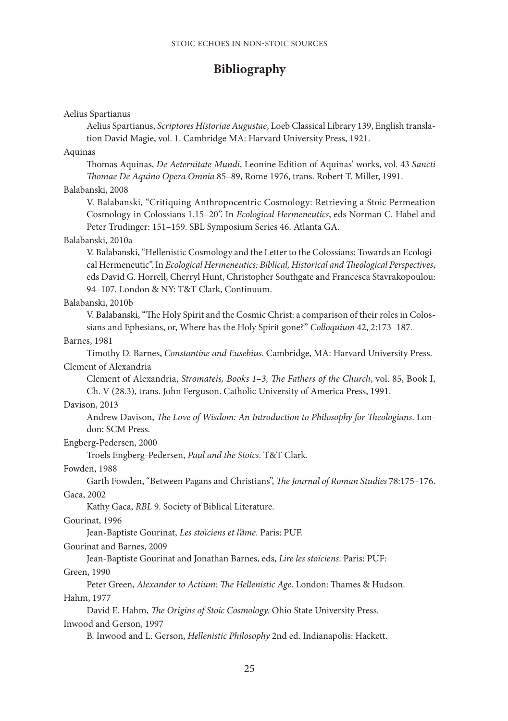# **Bibliography**

#### Aelius Spartianus

Aelius Spartianus, *Scriptores Historiae Augustae*, Loeb Classical Library 139, English translation David Magie, vol. 1. Cambridge MA: Harvard University Press, 1921.

#### Aquinas

Thomas Aquinas, *De Aeternitate Mundi*, Leonine Edition of Aquinas' works, vol. 43 *Sancti Thomae De Aquino Opera Omnia* 85–89, Rome 1976, trans. Robert T. Miller, 1991.

#### Balabanski, 2008

V. Balabanski, "Critiquing Anthropocentric Cosmology: Retrieving a Stoic Permeation Cosmology in Colossians 1.15–20". In *Ecological Hermeneutics*, eds Norman C. Habel and Peter Trudinger: 151–159. SBL Symposium Series 46. Atlanta GA.

#### Balabanski, 2010a

V. Balabanski, "Hellenistic Cosmology and the Letter to the Colossians: Towards an Ecological Hermeneutic". In *Ecological Hermeneutics: Biblical, Historical and Theological Perspectives*, eds David G. Horrell, Cherryl Hunt, Christopher Southgate and Francesca Stavrakopoulou: 94–107. London & NY: T&T Clark, Continuum.

#### Balabanski, 2010b

V. Balabanski, "The Holy Spirit and the Cosmic Christ: a comparison of their roles in Colossians and Ephesians, or, Where has the Holy Spirit gone?" *Colloquium* 42, 2:173–187.

#### Barnes, 1981

Timothy D. Barnes, *Constantine and Eusebius*. Cambridge, MA: Harvard University Press. Clement of Alexandria

Clement of Alexandria, *Stromateis, Books 1–3, The Fathers of the Church*, vol. 85, Book I, Ch. V (28.3), trans. John Ferguson. Catholic University of America Press, 1991.

#### Davison, 2013

Andrew Davison, *The Love of Wisdom: An Introduction to Philosophy for Theologians*. London: SCM Press.

#### Engberg-Pedersen, 2000

Troels Engberg-Pedersen, *Paul and the Stoics*. T&T Clark.

## Fowden, 1988

Garth Fowden, "Between Pagans and Christians", *The Journal of Roman Studies* 78:175–176. Gaca, 2002

Kathy Gaca, *RBL* 9. Society of Biblical Literature.

#### Gourinat, 1996

Jean-Baptiste Gourinat, *Les stoïciens et l'âme*. Paris: PUF.

#### Gourinat and Barnes, 2009

Jean-Baptiste Gourinat and Jonathan Barnes, eds, *Lire les stoïciens*. Paris: PUF:

### Green, 1990

Peter Green, *Alexander to Actium: The Hellenistic Age*. London: Thames & Hudson.

#### Hahm, 1977

David E. Hahm, *The Origins of Stoic Cosmology.* Ohio State University Press.

## Inwood and Gerson, 1997

B. Inwood and L. Gerson, *Hellenistic Philosophy* 2nd ed. Indianapolis: Hackett.